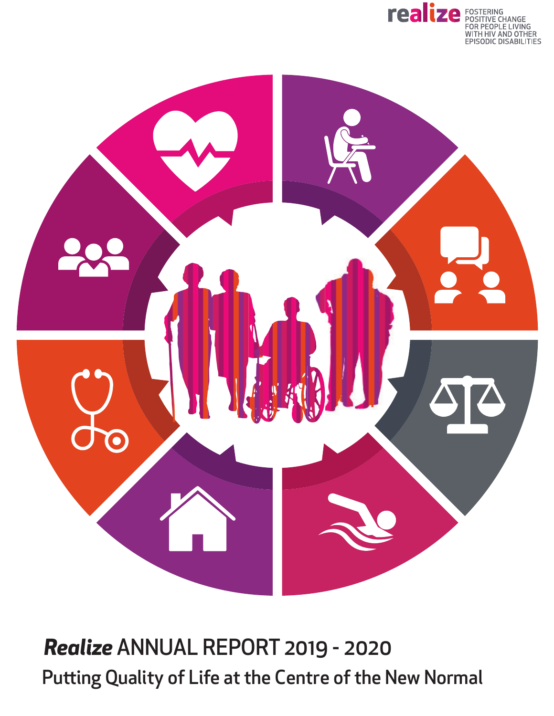



Putting Quality of Life at the Centre of the New Normal *Realize* ANNUAL REPORT 2019 - 2020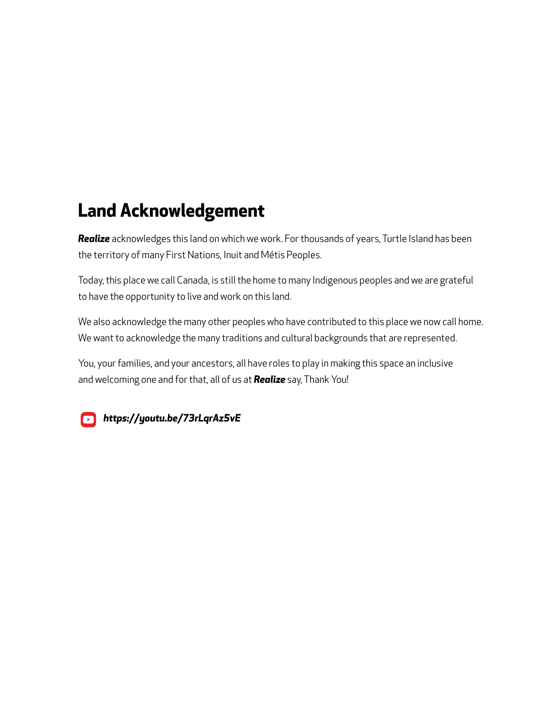#### **Land Acknowledgement**

*Realize* acknowledges this land on which we work. For thousands of years, Turtle Island has been the territory of many First Nations, Inuit and Métis Peoples.

Today, this place we call Canada, is still the home to many Indigenous peoples and we are grateful to have the opportunity to live and work on this land.

We also acknowledge the many other peoples who have contributed to this place we now call home. We want to acknowledge the many traditions and cultural backgrounds that are represented.

You, your families, and your ancestors, all have roles to play in making this space an inclusive and welcoming one and for that, all of us at *Realize* say, Thank You!



*<https://youtu.be/73rLqrAz5vE>*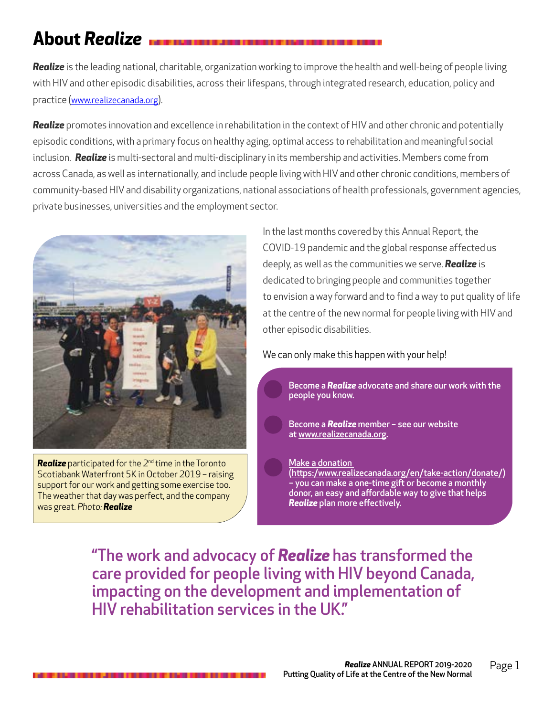## **About** *Realize*

*Realize* is the leading national, charitable, organization working to improve the health and well-being of people living with HIV and other episodic disabilities, across their lifespans, through integrated research, education, policy and practice ([www.realizecanada.org\)](http://www.realizecanada.org).

*Realize* promotes innovation and excellence in rehabilitation in the context of HIV and other chronic and potentially episodic conditions, with a primary focus on healthy aging, optimal access to rehabilitation and meaningful social inclusion. *Realize* is multi-sectoral and multi-disciplinary in its membership and activities. Members come from across Canada, as well as internationally, and include people living with HIV and other chronic conditions, members of community-based HIV and disability organizations, national associations of health professionals, government agencies, private businesses, universities and the employment sector.



**Realize** participated for the 2<sup>nd</sup> time in the Toronto Scotiabank Waterfront 5K in October 2019 – raising support for our work and getting some exercise too. The weather that day was perfect, and the company was great. *Photo: Realize*

In the last months covered by this Annual Report, the COVID-19 pandemic and the global response affected us deeply, as well as the communities we serve. *Realize* is dedicated to bringing people and communities together to envision a way forward and to find a way to put quality of life at the centre of the new normal for people living with HIV and other episodic disabilities.

#### We can only make this happen with your help!

Become a *Realize* advocate and share our work with the people you know.

Become a *Realize* member – see our website at [www.realizecanada.org](http://www.realizecanada.org).

[Make a donation](https://www.realizecanada.org/en/take-action/donate/) ([https:/www.realizecanada.org/en/take-action/donate/\)](https://www.realizecanada.org/en/take-action/donate/) – you can make a one-time gift or become a monthly donor, an easy and affordable way to give that helps *Realize* plan more effectively.

"The work and advocacy of *Realize* has transformed the care provided for people living with HIV beyond Canada, impacting on the development and implementation of HIV rehabilitation services in the UK."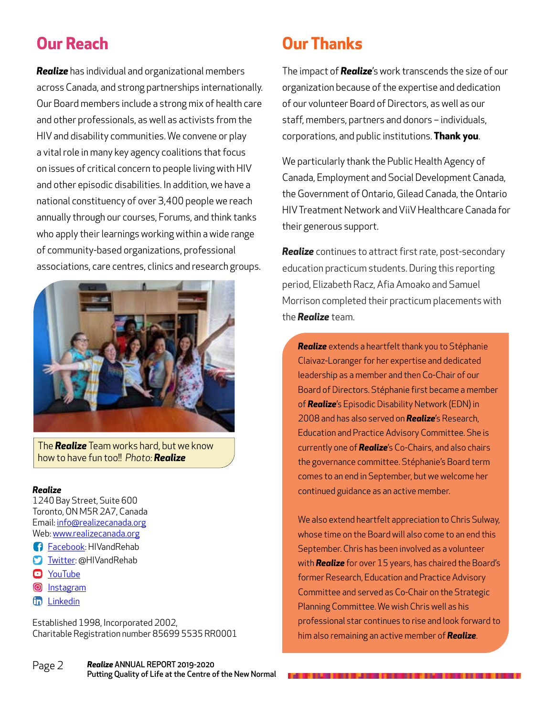#### **Our Reach**

*Realize* has individual and organizational members across Canada, and strong partnerships internationally. Our Board members include a strong mix of health care and other professionals, as well as activists from the HIV and disability communities. We convene or play a vital role in many key agency coalitions that focus on issues of critical concern to people living with HIV and other episodic disabilities. In addition, we have a national constituency of over 3,400 people we reach annually through our courses, Forums, and think tanks who apply their learnings working within a wide range of community-based organizations, professional associations, care centres, clinics and research groups.



The *Realize* Team works hard, but we know how to have fun too!! *Photo: Realize*

#### *Realize*

1240 Bay Street, Suite 600 Toronto, ON M5R 2A7, Canada Email: [info@realizecanada.org](mailto:info%40realizecanada.org?subject=) Web: [www.realizecanada.org](http://www.realizecanada.org)

- **f** [Facebook:](https://www.facebook.com/HIVandRehab-340739632676755/) HIVandRehab
- **S** [Twitter](https://twitter.com/hivandrehab): @HIVandRehab
- **D** [YouTube](https://www.youtube.com/channel/UCPX_1zY5vZnAWbKicj7Hl3A)
- **O** [Instagram](https://www.instagram.com/hivandrehab/)
- **th** [Linkedin](https://ca.linkedin.com/company/realize-realise?trk=public_profile_topcard_current_company)

Established 1998, Incorporated 2002, Charitable Registration number 85699 5535 RR0001

#### **Our Thanks**

The impact of *Realize*'s work transcends the size of our organization because of the expertise and dedication of our volunteer Board of Directors, as well as our staff, members, partners and donors – individuals, corporations, and public institutions. **Thank you**.

We particularly thank the Public Health Agency of Canada, Employment and Social Development Canada, the Government of Ontario, Gilead Canada, the Ontario HIV Treatment Network and ViiV Healthcare Canada for their generous support.

*Realize* continues to attract first rate, post-secondary education practicum students. During this reporting period, Elizabeth Racz, Afia Amoako and Samuel Morrison completed their practicum placements with the *Realize* team.

*Realize* extends a heartfelt thank you to Stéphanie Claivaz-Loranger for her expertise and dedicated leadership as a member and then Co-Chair of our Board of Directors. Stéphanie first became a member of *Realize*'s Episodic Disability Network (EDN) in 2008 and has also served on *Realize*'s Research, Education and Practice Advisory Committee. She is currently one of *Realize*'s Co-Chairs, and also chairs the governance committee. Stéphanie's Board term comes to an end in September, but we welcome her continued guidance as an active member.

We also extend heartfelt appreciation to Chris Sulway, whose time on the Board will also come to an end this September. Chris has been involved as a volunteer with *Realize* for over 15 years, has chaired the Board's former Research, Education and Practice Advisory Committee and served as Co-Chair on the Strategic Planning Committee. We wish Chris well as his professional star continues to rise and look forward to him also remaining an active member of *Realize*.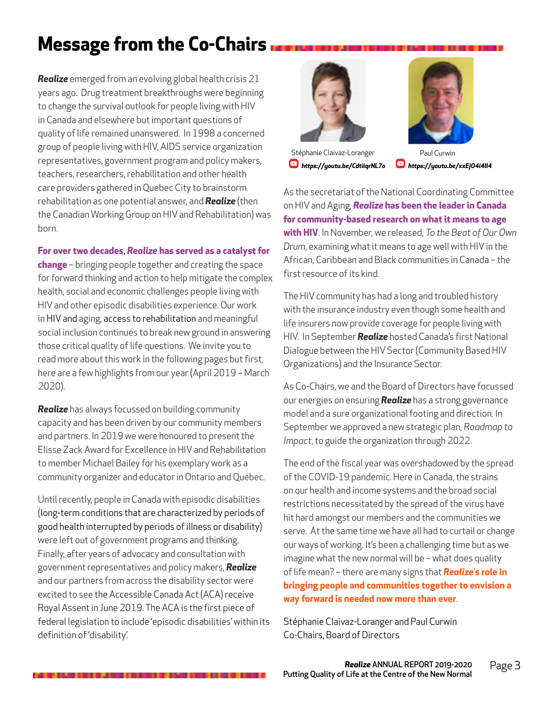## **Message from the Co-Chairs**

*Realize* emerged from an evolving global health crisis 21 years ago. Drug treatment breakthroughs were beginning to change the survival outlook for people living with HIV in Canada and elsewhere but important questions of quality of life remained unanswered. In 1998 a concerned group of people living with HIV, AIDS service organization representatives, government program and policy makers, teachers, researchers, rehabilitation and other health care providers gathered in Quebec City to brainstorm rehabilitation as one potential answer, and *Realize* (then the Canadian Working Group on HIV and Rehabilitation) was born.

#### **For over two decades**, *Realize* **has served as a catalyst for**

**change** – bringing people together and creating the space for forward thinking and action to help mitigate the complex health, social and economic challenges people living with HIV and other episodic disabilities experience. Our work in HIV and aging, access to rehabilitation and meaningful social inclusion continues to break new ground in answering those critical quality of life questions. We invite you to read more about this work in the following pages but first, here are a few highlights from our year (April 2019 – March 2020).

*Realize* has always focussed on building community capacity and has been driven by our community members and partners. In 2019 we were honoured to present the Elisse Zack Award for Excellence in HIV and Rehabilitation to member Michael Bailey for his exemplary work as a community organizer and educator in Ontario and Quebec.

Until recently, people in Canada with episodic disabilities (long-term conditions that are characterized by periods of good health interrupted by periods of illness or disability) were left out of government programs and thinking. Finally, after years of advocacy and consultation with government representatives and policy makers, *Realize* and our partners from across the disability sector were excited to see the Accessible Canada Act (ACA) receive Royal Assent in June 2019. The ACA is the first piece of federal legislation to include 'episodic disabilities' within its definition of 'disability'.



Stéphanie Claivaz-Loranger Paul Curwin *<https://youtu.be/CdtiiqrNL7o>**<https://youtu.be/xxEjO4i4Il4>*



As the secretariat of the National Coordinating Committee on HIV and Aging, *Realize* **has been the leader in Canada for community-based research on what it means to age with HIV**. In November, we released, *To the Beat of Our Own Drum*, examining what it means to age well with HIV in the African, Caribbean and Black communities in Canada – the first resource of its kind.

The HIV community has had a long and troubled history with the insurance industry even though some health and life insurers now provide coverage for people living with HIV. In September *Realize* hosted Canada's first National Dialogue between the HIV Sector (Community Based HIV Organizations) and the Insurance Sector.

As Co-Chairs, we and the Board of Directors have focussed our energies on ensuring *Realize* has a strong governance model and a sure organizational footing and direction. In September we approved a new strategic plan, *Roadmap to Impact*, to guide the organization through 2022.

The end of the fiscal year was overshadowed by the spread of the COVID-19 pandemic. Here in Canada, the strains on our health and income systems and the broad social restrictions necessitated by the spread of the virus have hit hard amongst our members and the communities we serve. At the same time we have all had to curtail or change our ways of working. It's been a challenging time but as we imagine what the new normal will be – what does quality of life mean? – there are many signs that *Realize*'**s role in bringing people and communities together to envision a way forward is needed now more than ever**.

Stéphanie Claivaz-Loranger and Paul Curwin Co-Chairs, Board of Directors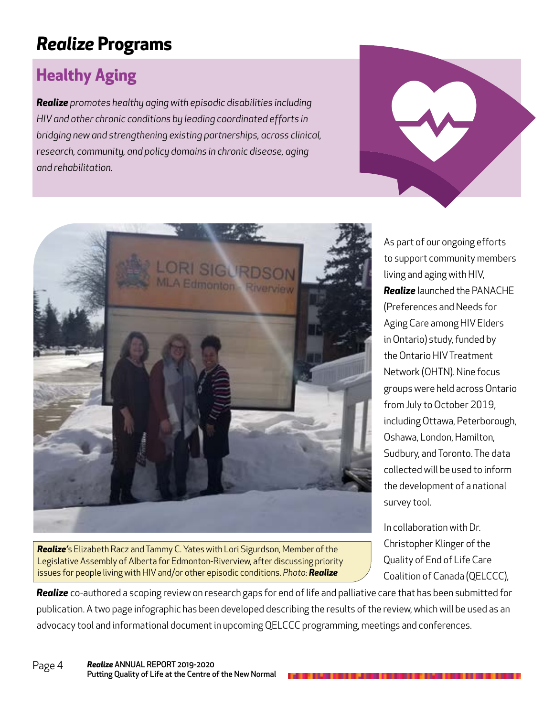### *Realize* **Programs**

#### **Healthy Aging**

*Realize promotes healthy aging with episodic disabilities including HIV and other chronic conditions by leading coordinated efforts in bridging new and strengthening existing partnerships, across clinical, research, community, and policy domains in chronic disease, aging and rehabilitation.*





*Realize'*s Elizabeth Racz and Tammy C. Yates with Lori Sigurdson, Member of the Legislative Assembly of Alberta for Edmonton-Riverview, after discussing priority issues for people living with HIV and/or other episodic conditions. *Photo: Realize*

As part of our ongoing efforts to support community members living and aging with HIV, *Realize* launched the PANACHE (Preferences and Needs for Aging Care among HIV Elders in Ontario) study, funded by the Ontario HIV Treatment Network (OHTN). Nine focus groups were held across Ontario from July to October 2019, including Ottawa, Peterborough, Oshawa, London, Hamilton, Sudbury, and Toronto. The data collected will be used to inform the development of a national survey tool.

In collaboration with Dr. Christopher Klinger of the Quality of End of Life Care Coalition of Canada (QELCCC),

*Realize* co-authored a scoping review on research gaps for end of life and palliative care that has been submitted for publication. A two page infographic has been developed describing the results of the review, which will be used as an advocacy tool and informational document in upcoming QELCCC programming, meetings and conferences.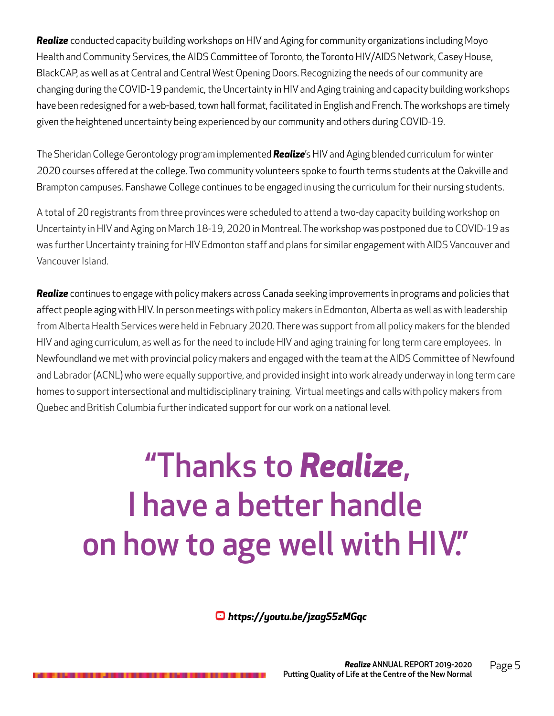*Realize* conducted capacity building workshops on HIV and Aging for community organizations including Moyo Health and Community Services, the AIDS Committee of Toronto, the Toronto HIV/AIDS Network, Casey House, BlackCAP, as well as at Central and Central West Opening Doors. Recognizing the needs of our community are changing during the COVID-19 pandemic, the Uncertainty in HIV and Aging training and capacity building workshops have been redesigned for a web-based, town hall format, facilitated in English and French. The workshops are timely given the heightened uncertainty being experienced by our community and others during COVID-19.

The Sheridan College Gerontology program implemented *Realize*'s HIV and Aging blended curriculum for winter 2020 courses offered at the college. Two community volunteers spoke to fourth terms students at the Oakville and Brampton campuses. Fanshawe College continues to be engaged in using the curriculum for their nursing students.

A total of 20 registrants from three provinces were scheduled to attend a two-day capacity building workshop on Uncertainty in HIV and Aging on March 18-19, 2020 in Montreal. The workshop was postponed due to COVID-19 as was further Uncertainty training for HIV Edmonton staff and plans for similar engagement with AIDS Vancouver and Vancouver Island.

*Realize* continues to engage with policy makers across Canada seeking improvements in programs and policies that affect people aging with HIV. In person meetings with policy makers in Edmonton, Alberta as well as with leadership from Alberta Health Services were held in February 2020. There was support from all policy makers for the blended HIV and aging curriculum, as well as for the need to include HIV and aging training for long term care employees. In Newfoundland we met with provincial policy makers and engaged with the team at the AIDS Committee of Newfound and Labrador (ACNL) who were equally supportive, and provided insight into work already underway in long term care homes to support intersectional and multidisciplinary training. Virtual meetings and calls with policy makers from Quebec and British Columbia further indicated support for our work on a national level.

# "Thanks to *Realize*, I have a better handle on how to age well with HIV."

*[https://youtu.be/jzagS5zMGqc](https://youtu.be/jzagS5zMGqc )*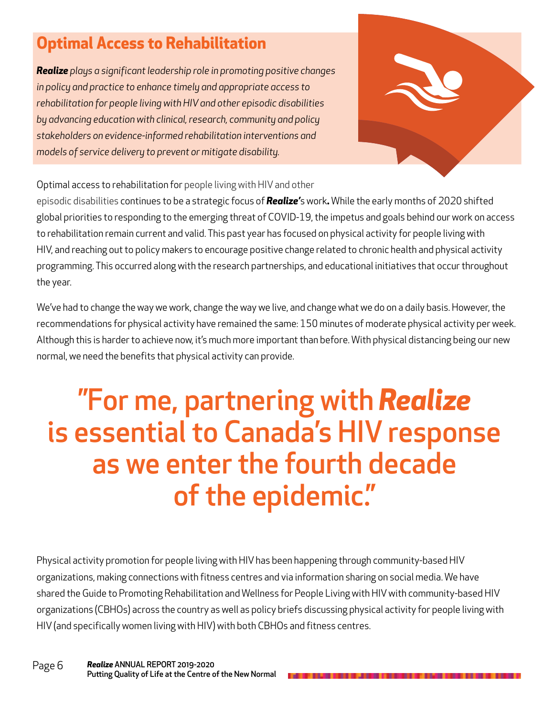#### **Optimal Access to Rehabilitation**

*Realize plays a significant leadership role in promoting positive changes in policy and practice to enhance timely and appropriate access to rehabilitation for people living with HIV and other episodic disabilities by advancing education with clinical, research, community and policy stakeholders on evidence-informed rehabilitation interventions and models of service delivery to prevent or mitigate disability.*



Optimal access to rehabilitation for people living with HIV and other

episodic disabilities continues to be a strategic focus of *Realize'*s work*.* While the early months of 2020 shifted global priorities to responding to the emerging threat of COVID-19, the impetus and goals behind our work on access to rehabilitation remain current and valid. This past year has focused on physical activity for people living with HIV, and reaching out to policy makers to encourage positive change related to chronic health and physical activity programming. This occurred along with the research partnerships, and educational initiatives that occur throughout the year.

We've had to change the way we work, change the way we live, and change what we do on a daily basis. However, the recommendations for physical activity have remained the same: 150 minutes of moderate physical activity per week. Although this is harder to achieve now, it's much more important than before. With physical distancing being our new normal, we need the benefits that physical activity can provide.

## "For me, partnering with *Realize* is essential to Canada's HIV response as we enter the fourth decade of the epidemic."

Physical activity promotion for people living with HIV has been happening through community-based HIV organizations, making connections with fitness centres and via information sharing on social media. We have shared the Guide to Promoting Rehabilitation and Wellness for People Living with HIV with community-based HIV organizations (CBHOs) across the country as well as policy briefs discussing physical activity for people living with HIV (and specifically women living with HIV) with both CBHOs and fitness centres.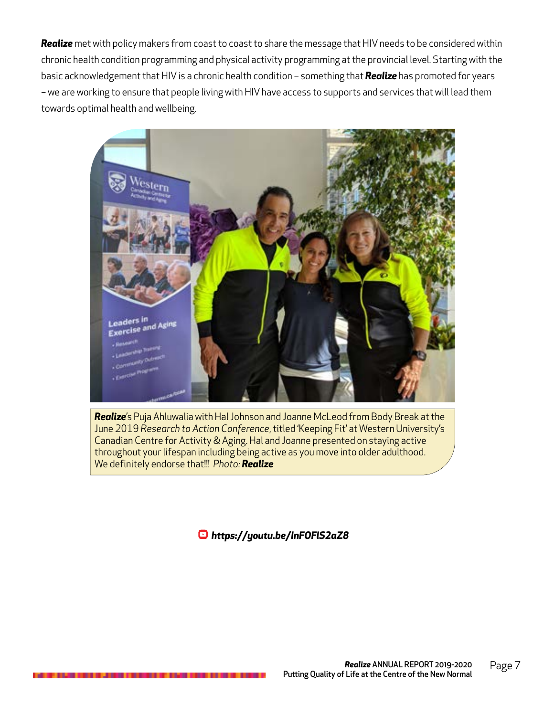*Realize* met with policy makers from coast to coast to share the message that HIV needs to be considered within chronic health condition programming and physical activity programming at the provincial level. Starting with the basic acknowledgement that HIV is a chronic health condition – something that *Realize* has promoted for years – we are working to ensure that people living with HIV have access to supports and services that will lead them towards optimal health and wellbeing.



*Realize*'s Puja Ahluwalia with Hal Johnson and Joanne McLeod from Body Break at the June 2019 *Research to Action Conference*, titled 'Keeping Fit' at Western University's Canadian Centre for Activity & Aging. Hal and Joanne presented on staying active throughout your lifespan including being active as you move into older adulthood. We definitely endorse that!!! *Photo: Realize*

*<https://youtu.be/InFOFlS2aZ8>*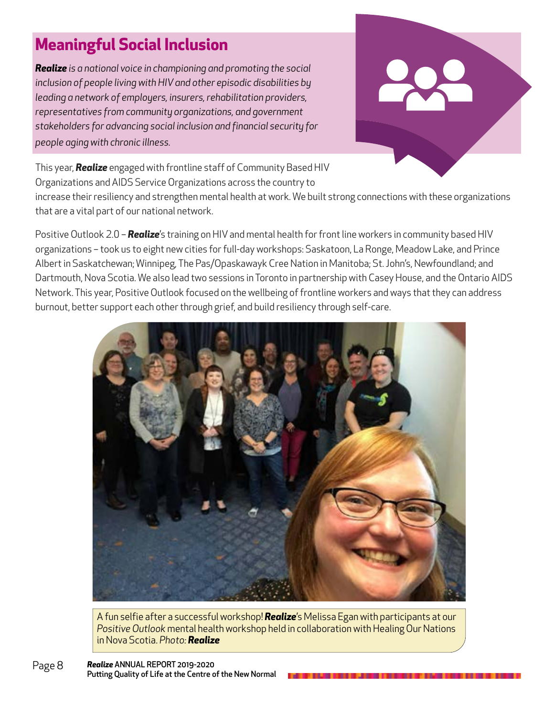#### **Meaningful Social Inclusion**

*Realize is a national voice in championing and promoting the social inclusion of people living with HIV and other episodic disabilities by leading a network of employers, insurers, rehabilitation providers, representatives from community organizations, and government stakeholders for advancing social inclusion and financial security for people aging with chronic illness.*



This year, *Realize* engaged with frontline staff of Community Based HIV Organizations and AIDS Service Organizations across the country to

increase their resiliency and strengthen mental health at work. We built strong connections with these organizations that are a vital part of our national network.

Positive Outlook 2.0 – *Realize*'s training on HIV and mental health for front line workers in community based HIV organizations – took us to eight new cities for full-day workshops: Saskatoon, La Ronge, Meadow Lake, and Prince Albert in Saskatchewan; Winnipeg, The Pas/Opaskawayk Cree Nation in Manitoba; St. John's, Newfoundland; and Dartmouth, Nova Scotia. We also lead two sessions in Toronto in partnership with Casey House, and the Ontario AIDS Network. This year, Positive Outlook focused on the wellbeing of frontline workers and ways that they can address burnout, better support each other through grief, and build resiliency through self-care.



A fun selfie after a successful workshop! *Realize*'s Melissa Egan with participants at our *Positive Outlook* mental health workshop held in collaboration with Healing Our Nations in Nova Scotia. *Photo: Realize*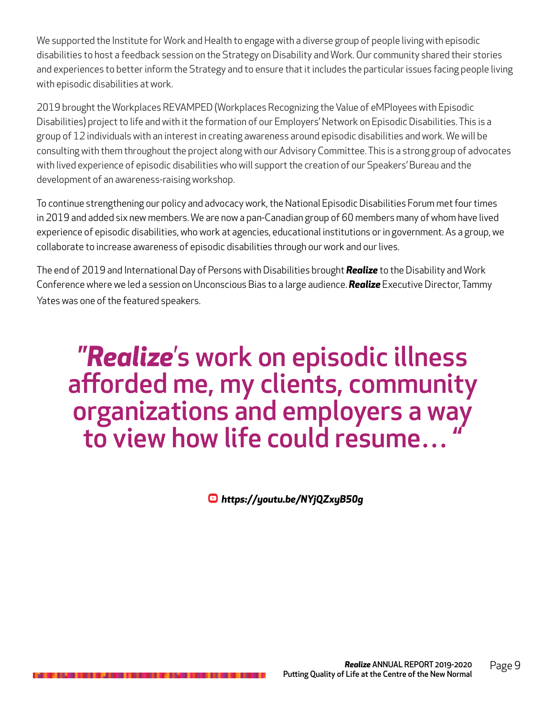We supported the Institute for Work and Health to engage with a diverse group of people living with episodic disabilities to host a feedback session on the Strategy on Disability and Work. Our community shared their stories and experiences to better inform the Strategy and to ensure that it includes the particular issues facing people living with episodic disabilities at work.

2019 brought the Workplaces REVAMPED (Workplaces Recognizing the Value of eMPloyees with Episodic Disabilities) project to life and with it the formation of our Employers' Network on Episodic Disabilities. This is a group of 12 individuals with an interest in creating awareness around episodic disabilities and work. We will be consulting with them throughout the project along with our Advisory Committee. This is a strong group of advocates with lived experience of episodic disabilities who will support the creation of our Speakers' Bureau and the development of an awareness-raising workshop.

To continue strengthening our policy and advocacy work, the National Episodic Disabilities Forum met four times in 2019 and added six new members. We are now a pan-Canadian group of 60 members many of whom have lived experience of episodic disabilities, who work at agencies, educational institutions or in government. As a group, we collaborate to increase awareness of episodic disabilities through our work and our lives.

The end of 2019 and International Day of Persons with Disabilities brought *Realize* to the Disability and Work Conference where we led a session on Unconscious Bias to a large audience. *Realize* Executive Director, Tammy Yates was one of the featured speakers.

## "*Realize*'s work on episodic illness afforded me, my clients, community organizations and employers a way to view how life could resume… "

*<https://youtu.be/NYjQZxyB50g>*